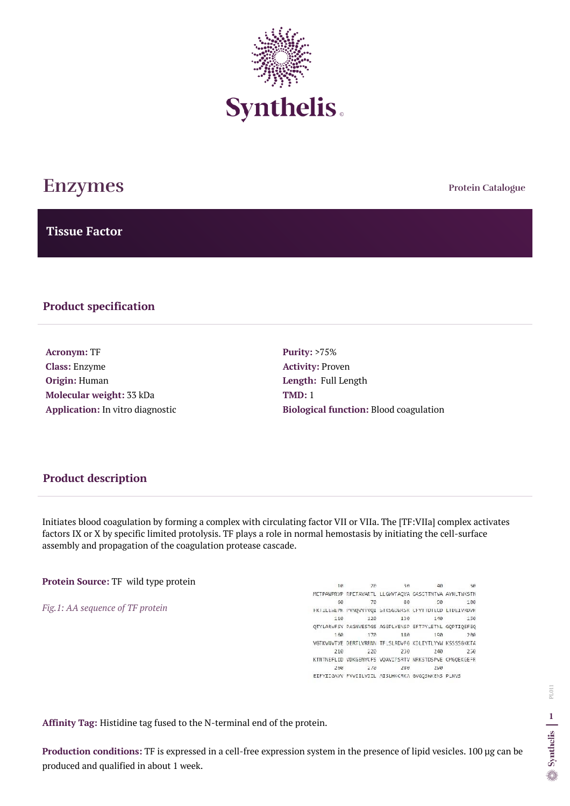**Protein Catalogue**

**Tissue Factor**



# **Enzymes**

### **Product specification**

**Acronym:** TF **Class:** Enzyme **Origin:** Human **Molecular weight:** 33 kDa **Application:** In vitro diagnostic **Purity:** >75% **Activity:** Proven **Length:** Full Length **TMD:** 1 **Biological function:** Blood coagulation

Initiates blood coagulation by forming a complex with circulating factor VII or VIIa. The [TF:VIIa] complex activates factors IX or X by specific limited protolysis. TF plays a role in normal hemostasis by initiating the cell-surface assembly and propagation of the coagulation protease cascade.

**Protein Source:** TF wild type protein

*Fig.1: AA sequence of TF protein* 

| 10   | 28   | 30                                                     | 40  | 5A  |
|------|------|--------------------------------------------------------|-----|-----|
|      |      | METPAMPRVP RPETAVARTL LLGWVFAQVA GASCTINTVA AYNLTWKSTN |     |     |
| 60   | 78   | 80                                                     | 90  | 100 |
|      |      | FKILLEWEPK PYNQVYIVQI SIKSGDWKSK CFYTIDTECD LIDEIVKDVK |     |     |
| 110  | 128  | 130                                                    | 140 | 150 |
|      |      | OTYLARVESY PAGNVESTGS AGEPLYENSP EFTPYLETNL GOPTIOSFEQ |     |     |
| 160. | 172  | 180                                                    | 190 | 200 |
|      |      | VGTKVNVTVE DERTLVRRNN TFLSLRDVFG KDLIYTLYYW KSSSSGKKTA |     |     |
| 210  | 228  | 230                                                    | 240 | 250 |
|      |      | KINTNEFLID VDKGENYCFS VOAVIPSRTV NRKSTDSPVE CMGOEKGEFR |     |     |
| 260  | -278 | 280                                                    | 250 |     |
|      |      | EIFYIIGAVV FVVIILVIIL AISLHKCRKA GVGQSWKENS PLNVS      |     |     |

**Affinity Tag:** Histidine tag fused to the N-terminal end of the protein.

**Production conditions:** TF is expressed in a cell-free expression system in the presence of lipid vesicles. 100 µg can be produced and qualified in about 1 week.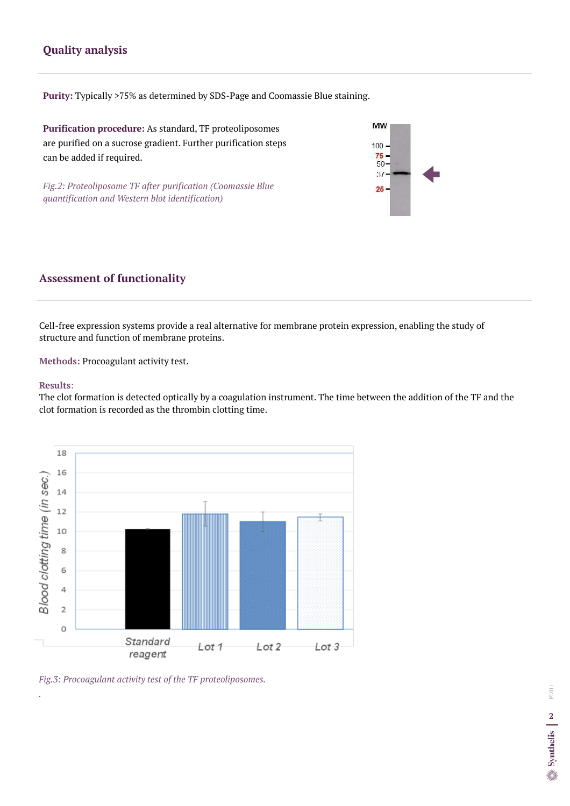Cell-free expression systems provide a real alternative for membrane protein expression, enabling the study of structure and function of membrane proteins.

**Methods:** Procoagulant activity test.

#### **Results**:

The clot formation is detected optically by a coagulation instrument. The time between the addition of the TF and the clot formation is recorded as the thrombin clotting time.

## **Assessment of functionality**

# **Quality analysis**

**Purity:** Typically >75% as determined by SDS-Page and Coomassie Blue staining.

**Purification procedure:** As standard, TF proteoliposomes are purified on a sucrose gradient. Further purification steps can be added if required.

*Fig.2: Proteoliposome TF after purification (Coomassie Blue quantification and Western blot identification)*





*Fig.3: Procoagulant activity test of the TF proteoliposomes.* 

*.*